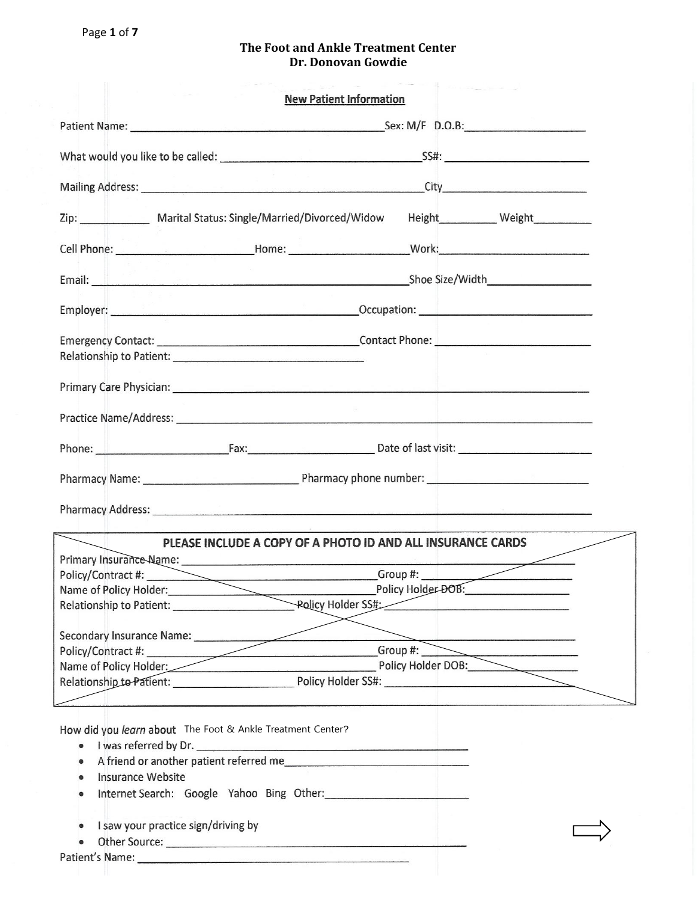|                                                                                                                                                                                                                                                                     | <b>New Patient Information</b>                                                                                                                                                                                                       |  |
|---------------------------------------------------------------------------------------------------------------------------------------------------------------------------------------------------------------------------------------------------------------------|--------------------------------------------------------------------------------------------------------------------------------------------------------------------------------------------------------------------------------------|--|
|                                                                                                                                                                                                                                                                     |                                                                                                                                                                                                                                      |  |
|                                                                                                                                                                                                                                                                     |                                                                                                                                                                                                                                      |  |
|                                                                                                                                                                                                                                                                     |                                                                                                                                                                                                                                      |  |
|                                                                                                                                                                                                                                                                     | Zip: Marital Status: Single/Married/Divorced/Widow Height Weight                                                                                                                                                                     |  |
|                                                                                                                                                                                                                                                                     |                                                                                                                                                                                                                                      |  |
|                                                                                                                                                                                                                                                                     |                                                                                                                                                                                                                                      |  |
|                                                                                                                                                                                                                                                                     |                                                                                                                                                                                                                                      |  |
|                                                                                                                                                                                                                                                                     |                                                                                                                                                                                                                                      |  |
|                                                                                                                                                                                                                                                                     |                                                                                                                                                                                                                                      |  |
|                                                                                                                                                                                                                                                                     | Practice Name/Address: Name and South Address: Name and South Address: Name and South Address: Name and South Address: Name and South Address: Name and South Address: Name and South Address: Name and South Address: Name an       |  |
|                                                                                                                                                                                                                                                                     | Phone: <u>New York: New York: New York: New York: New York: New York: New York: New York: New York: New York: New York: New York: New York: New York: New York: New York: New York: New York: New York: New York: New York: New </u> |  |
|                                                                                                                                                                                                                                                                     |                                                                                                                                                                                                                                      |  |
|                                                                                                                                                                                                                                                                     | Pharmacy Address: 2008 Committee Committee Committee Committee Committee Committee Committee Committee Committee                                                                                                                     |  |
|                                                                                                                                                                                                                                                                     | PLEASE INCLUDE A COPY OF A PHOTO ID AND ALL INSURANCE CARDS                                                                                                                                                                          |  |
|                                                                                                                                                                                                                                                                     |                                                                                                                                                                                                                                      |  |
|                                                                                                                                                                                                                                                                     | Policy/Contract #: Group #: Group #: Group #: Contract #: Contract #: Contract #: Contract #: Contract #: Contract # Contract # Contract # Contract # Contract # Contract # Contract # Contract # Contract # Contract # Contra       |  |
|                                                                                                                                                                                                                                                                     |                                                                                                                                                                                                                                      |  |
|                                                                                                                                                                                                                                                                     |                                                                                                                                                                                                                                      |  |
|                                                                                                                                                                                                                                                                     |                                                                                                                                                                                                                                      |  |
| Secondary Insurance Name:                                                                                                                                                                                                                                           | Secondary Insurance Name:<br>Policy/Contract #: Group #: Group #: Group #: Policy Holder DOB:                                                                                                                                        |  |
|                                                                                                                                                                                                                                                                     |                                                                                                                                                                                                                                      |  |
|                                                                                                                                                                                                                                                                     | Relationship to Patient: Policy Holder SS#:                                                                                                                                                                                          |  |
|                                                                                                                                                                                                                                                                     |                                                                                                                                                                                                                                      |  |
| How did you learn about The Foot & Ankle Treatment Center?<br>I was referred by Dr.<br>$\bullet$<br>A friend or another patient referred me<br>$\bullet$<br><b>Insurance Website</b><br>$\bullet$<br>$\qquad \qquad \bullet$<br>I saw your practice sign/driving by |                                                                                                                                                                                                                                      |  |
|                                                                                                                                                                                                                                                                     |                                                                                                                                                                                                                                      |  |
|                                                                                                                                                                                                                                                                     |                                                                                                                                                                                                                                      |  |
|                                                                                                                                                                                                                                                                     |                                                                                                                                                                                                                                      |  |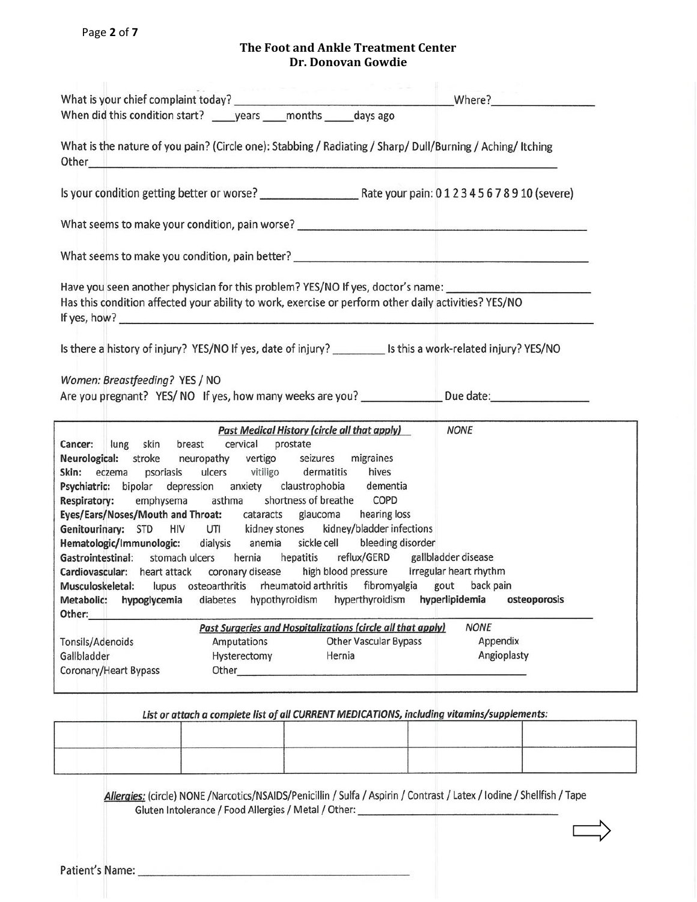| What is the nature of you pain? (Circle one): Stabbing / Radiating / Sharp/ Dull/Burning / Aching/ Itching<br>Other <u>2008 - 2008 - 2008 - 2008 - 2008 - 2008 - 2008 - 2008 - 2008 - 2008 - 2008 - 2008 - 2008 - 2008 - 2008 - 20</u><br>What seems to make your condition, pain worse? __________________________________<br>Have you seen another physician for this problem? YES/NO If yes, doctor's name: ______________________________<br>Has this condition affected your ability to work, exercise or perform other daily activities? YES/NO<br><b>Past Medical History (circle all that apply)</b><br><b>NONE</b><br>lung skin breast cervical prostate<br><b>NONE</b><br>Past Surgeries and Hospitalizations (circle all that apply)<br><b>Other Vascular Bypass</b><br>Appendix<br>Amputations<br>Angioplasty<br>Hysterectomy<br>Hernia                                                                                                                                                                                                                                                                                                                  |  |
|----------------------------------------------------------------------------------------------------------------------------------------------------------------------------------------------------------------------------------------------------------------------------------------------------------------------------------------------------------------------------------------------------------------------------------------------------------------------------------------------------------------------------------------------------------------------------------------------------------------------------------------------------------------------------------------------------------------------------------------------------------------------------------------------------------------------------------------------------------------------------------------------------------------------------------------------------------------------------------------------------------------------------------------------------------------------------------------------------------------------------------------------------------------------|--|
|                                                                                                                                                                                                                                                                                                                                                                                                                                                                                                                                                                                                                                                                                                                                                                                                                                                                                                                                                                                                                                                                                                                                                                      |  |
|                                                                                                                                                                                                                                                                                                                                                                                                                                                                                                                                                                                                                                                                                                                                                                                                                                                                                                                                                                                                                                                                                                                                                                      |  |
|                                                                                                                                                                                                                                                                                                                                                                                                                                                                                                                                                                                                                                                                                                                                                                                                                                                                                                                                                                                                                                                                                                                                                                      |  |
|                                                                                                                                                                                                                                                                                                                                                                                                                                                                                                                                                                                                                                                                                                                                                                                                                                                                                                                                                                                                                                                                                                                                                                      |  |
|                                                                                                                                                                                                                                                                                                                                                                                                                                                                                                                                                                                                                                                                                                                                                                                                                                                                                                                                                                                                                                                                                                                                                                      |  |
| Is there a history of injury? YES/NO If yes, date of injury? ___________ Is this a work-related injury? YES/NO<br>Women: Breastfeeding? YES / NO<br>Are you pregnant? YES/NO If yes, how many weeks are you? _______________Due date:__________________<br>Cancer:<br>Neurological: stroke neuropathy vertigo seizures migraines<br>Skin: eczema psoriasis ulcers vitiligo dermatitis hives<br>Psychiatric: bipolar depression anxiety claustrophobia dementia<br>Respiratory: emphysema asthma shortness of breathe COPD<br>Eyes/Ears/Noses/Mouth and Throat: cataracts glaucoma hearing loss<br>Genitourinary: STD HIV UTI kidney stones kidney/bladder infections<br>Hematologic/Immunologic: dialysis anemia sickle cell bleeding disorder<br>Gastrointestinal: stomach ulcers hernia hepatitis reflux/GERD gallbladder disease<br>Cardiovascular: heart attack coronary disease high blood pressure irregular heart rhythm<br>Musculoskeletal: lupus osteoarthritis rheumatoid arthritis fibromyalgia gout backpain<br>Metabolic: hypoglycemia diabetes hypothyroidism hyperthyroidism hyperlipidemia osteoporosis<br>Other:<br>Tonsils/Adenoids<br>Gallbladder |  |
|                                                                                                                                                                                                                                                                                                                                                                                                                                                                                                                                                                                                                                                                                                                                                                                                                                                                                                                                                                                                                                                                                                                                                                      |  |
|                                                                                                                                                                                                                                                                                                                                                                                                                                                                                                                                                                                                                                                                                                                                                                                                                                                                                                                                                                                                                                                                                                                                                                      |  |
|                                                                                                                                                                                                                                                                                                                                                                                                                                                                                                                                                                                                                                                                                                                                                                                                                                                                                                                                                                                                                                                                                                                                                                      |  |
|                                                                                                                                                                                                                                                                                                                                                                                                                                                                                                                                                                                                                                                                                                                                                                                                                                                                                                                                                                                                                                                                                                                                                                      |  |
|                                                                                                                                                                                                                                                                                                                                                                                                                                                                                                                                                                                                                                                                                                                                                                                                                                                                                                                                                                                                                                                                                                                                                                      |  |
| Coronary/Heart Bypass                                                                                                                                                                                                                                                                                                                                                                                                                                                                                                                                                                                                                                                                                                                                                                                                                                                                                                                                                                                                                                                                                                                                                |  |

Allergies: (circle) NONE /Narcotics/NSAIDS/Penicillin / Sulfa / Aspirin / Contrast / Latex / Iodine / Shellfish / Tape Gluten Intolerance / Food Allergies / Metal / Other: \_\_\_\_\_\_\_\_\_\_\_\_\_\_\_\_\_\_\_\_\_\_\_\_\_\_\_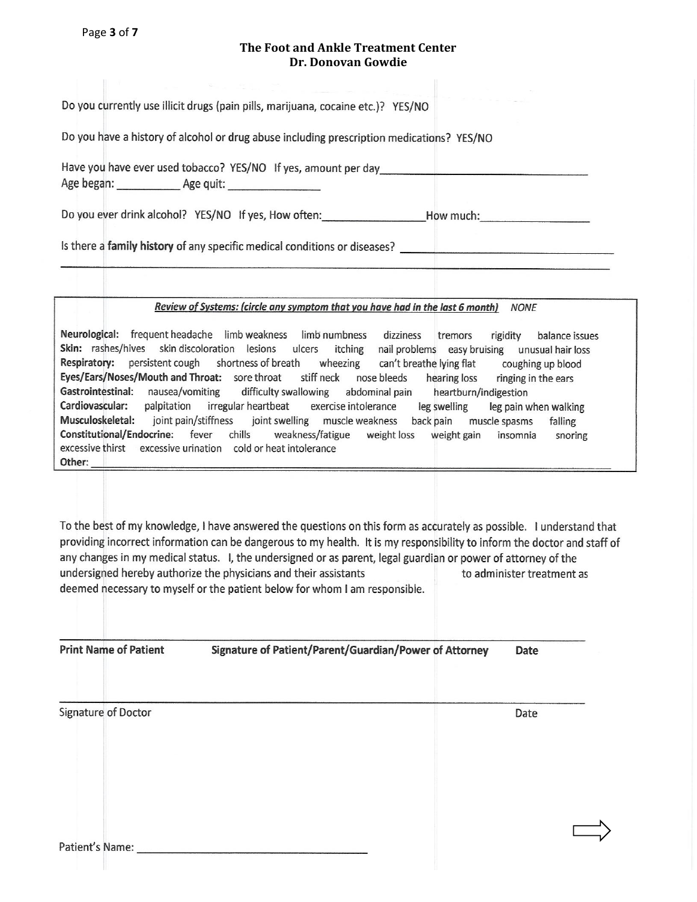Page **3** of **7** 

#### **The Foot and Ankle Treatment Center Dr. Donovan Gowdie**

Do you currently use illicit drugs (pain pills, marijuana, cocaine etc.)? YES/NO

Do you have a history of alcohol or drug abuse including prescription medications? YES/NO

Have you have ever used tobacco? YES/NO If yes, amount per day 

Do you ever drink alcohol? YES/NO If yes, How often: \_\_\_\_\_\_\_\_\_\_\_\_\_\_\_\_\_\_\_\_\_\_\_\_How much:\_\_\_\_\_\_\_\_\_\_\_\_\_\_\_\_\_\_\_\_\_\_\_\_

Is there a family history of any specific medical conditions or diseases? \_\_\_\_\_\_\_\_\_\_\_\_\_\_\_\_\_\_\_\_\_\_\_\_\_\_

#### Review of Systems: (circle any symptom that you have had in the last 6 month) NONE

Neurological: frequent headache limb weakness limb numbness dizziness tremors balance issues rigidity Skin: rashes/hives skin discoloration lesions ulcers itching nail-problems easy-bruising unusual-hair-loss Respiratory: persistent cough shortness of breath wheezing can't breathe lying flat coughing up blood Eyes/Ears/Noses/Mouth and Throat: sore throat stiff neck nose bleeds hearing loss ringing in the ears Gastrointestinal: nausea/vomiting difficulty swallowing abdominal pain heartburn/indigestion Cardiovascular: palpitation irregular heartbeat exercise intolerance leg swelling leg pain when walking Musculoskeletal: joint swelling muscle weakness back pain muscle spasms joint pain/stiffness falling Constitutional/Endocrine: fever chills weakness/fatigue weight loss weight gain insomnia snoring excessive thirst excessive urination cold or heat intolerance Other:

To the best of my knowledge, I have answered the questions on this form as accurately as possible. I understand that providing incorrect information can be dangerous to my health. It is my responsibility to inform the doctor and staff of any changes in my medical status. I, the undersigned or as parent, legal guardian or power of attorney of the undersigned hereby authorize the physicians and their assistants to administer treatment as deemed necessary to myself or the patient below for whom I am responsible.

**Print Name of Patient** 

Signature of Patient/Parent/Guardian/Power of Attorney Date

Signature of Doctor

Date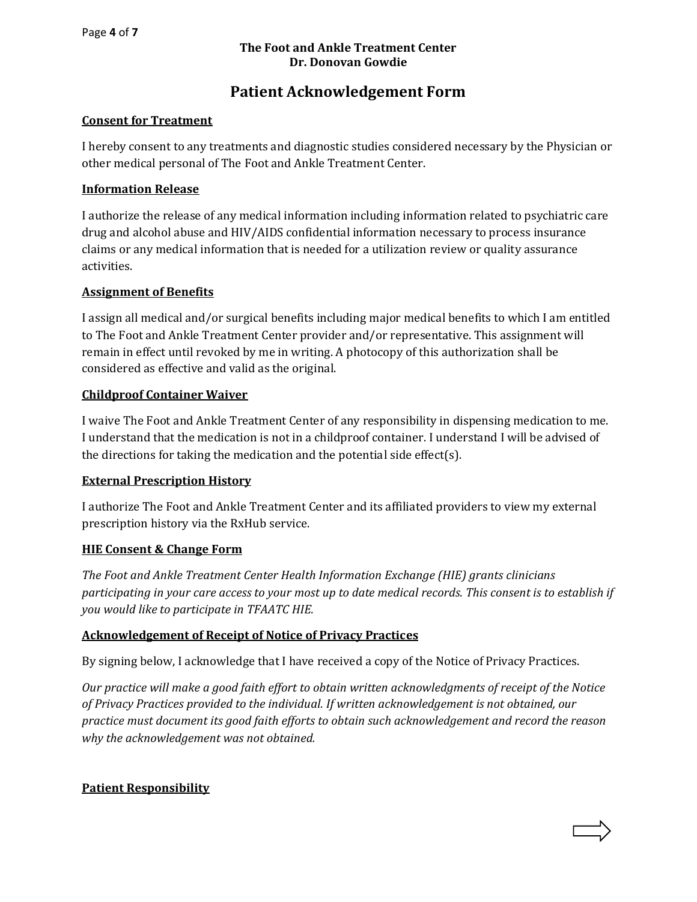# **Patient Acknowledgement Form**

### **Consent for Treatment**

I hereby consent to any treatments and diagnostic studies considered necessary by the Physician or other medical personal of The Foot and Ankle Treatment Center.

### **Information Release**

I authorize the release of any medical information including information related to psychiatric care drug and alcohol abuse and HIV/AIDS confidential information necessary to process insurance claims or any medical information that is needed for a utilization review or quality assurance activities.

## **Assignment of Benefits**

I assign all medical and/or surgical benefits including major medical benefits to which I am entitled to The Foot and Ankle Treatment Center provider and/or representative. This assignment will remain in effect until revoked by me in writing. A photocopy of this authorization shall be considered as effective and valid as the original.

#### **Childproof Container Waiver**

I waive The Foot and Ankle Treatment Center of any responsibility in dispensing medication to me. I understand that the medication is not in a childproof container. I understand I will be advised of the directions for taking the medication and the potential side effect(s).

#### **External Prescription History**

I authorize The Foot and Ankle Treatment Center and its affiliated providers to view my external prescription history via the RxHub service.

#### **HIE Consent & Change Form**

*The Foot and Ankle Treatment Center Health Information Exchange (HIE) grants clinicians participating in your care access to your most up to date medical records. This consent is to establish if you would like to participate in TFAATC HIE.* 

# **Acknowledgement of Receipt of Notice of Privacy Practices**

By signing below, I acknowledge that I have received a copy of the Notice of Privacy Practices.

*Our practice will make a good faith effort to obtain written acknowledgments of receipt of the Notice of Privacy Practices provided to the individual. If written acknowledgement is not obtained, our practice must document its good faith efforts to obtain such acknowledgement and record the reason why the acknowledgement was not obtained.* 

# **Patient Responsibility**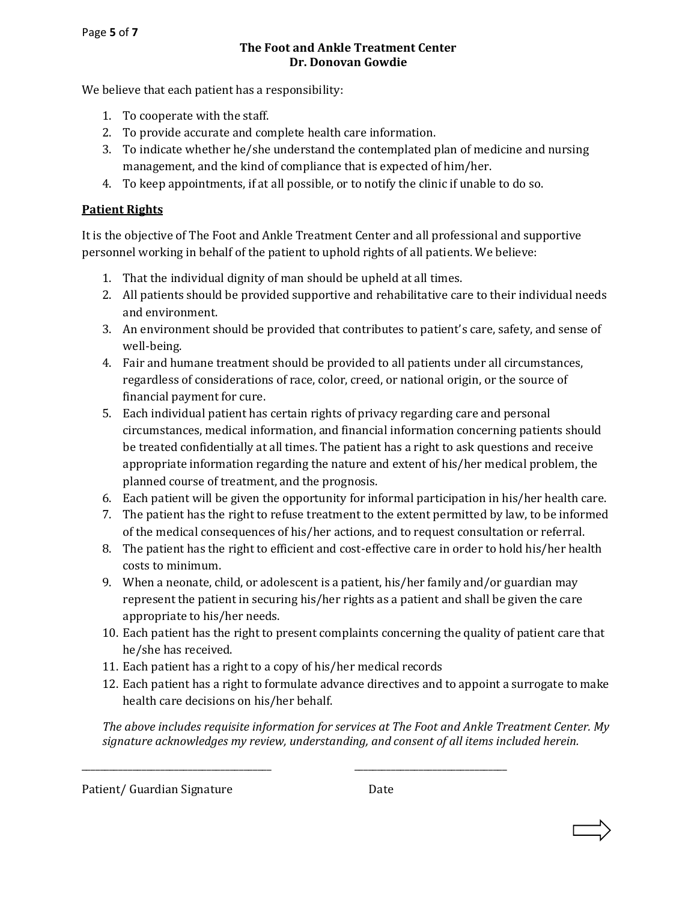We believe that each patient has a responsibility:

- 1. To cooperate with the staff.
- 2. To provide accurate and complete health care information.
- 3. To indicate whether he/she understand the contemplated plan of medicine and nursing management, and the kind of compliance that is expected of him/her.
- 4. To keep appointments, if at all possible, or to notify the clinic if unable to do so.

# **Patient Rights**

It is the objective of The Foot and Ankle Treatment Center and all professional and supportive personnel working in behalf of the patient to uphold rights of all patients. We believe:

- 1. That the individual dignity of man should be upheld at all times.
- 2. All patients should be provided supportive and rehabilitative care to their individual needs and environment.
- 3. An environment should be provided that contributes to patient's care, safety, and sense of well-being.
- 4. Fair and humane treatment should be provided to all patients under all circumstances, regardless of considerations of race, color, creed, or national origin, or the source of financial payment for cure.
- 5. Each individual patient has certain rights of privacy regarding care and personal circumstances, medical information, and financial information concerning patients should be treated confidentially at all times. The patient has a right to ask questions and receive appropriate information regarding the nature and extent of his/her medical problem, the planned course of treatment, and the prognosis.
- 6. Each patient will be given the opportunity for informal participation in his/her health care.
- 7. The patient has the right to refuse treatment to the extent permitted by law, to be informed of the medical consequences of his/her actions, and to request consultation or referral.
- 8. The patient has the right to efficient and cost-effective care in order to hold his/her health costs to minimum.
- 9. When a neonate, child, or adolescent is a patient, his/her family and/or guardian may represent the patient in securing his/her rights as a patient and shall be given the care appropriate to his/her needs.
- 10. Each patient has the right to present complaints concerning the quality of patient care that he/she has received.
- 11. Each patient has a right to a copy of his/her medical records

\_\_\_\_\_\_\_\_\_\_\_\_\_\_\_\_\_\_\_\_\_\_\_\_\_\_\_\_\_\_\_\_\_\_\_\_\_\_\_\_\_ \_\_\_\_\_\_\_\_\_\_\_\_\_\_\_\_\_\_\_\_\_\_\_\_\_\_\_\_\_\_\_\_\_

12. Each patient has a right to formulate advance directives and to appoint a surrogate to make health care decisions on his/her behalf.

*The above includes requisite information for services at The Foot and Ankle Treatment Center. My signature acknowledges my review, understanding, and consent of all items included herein.*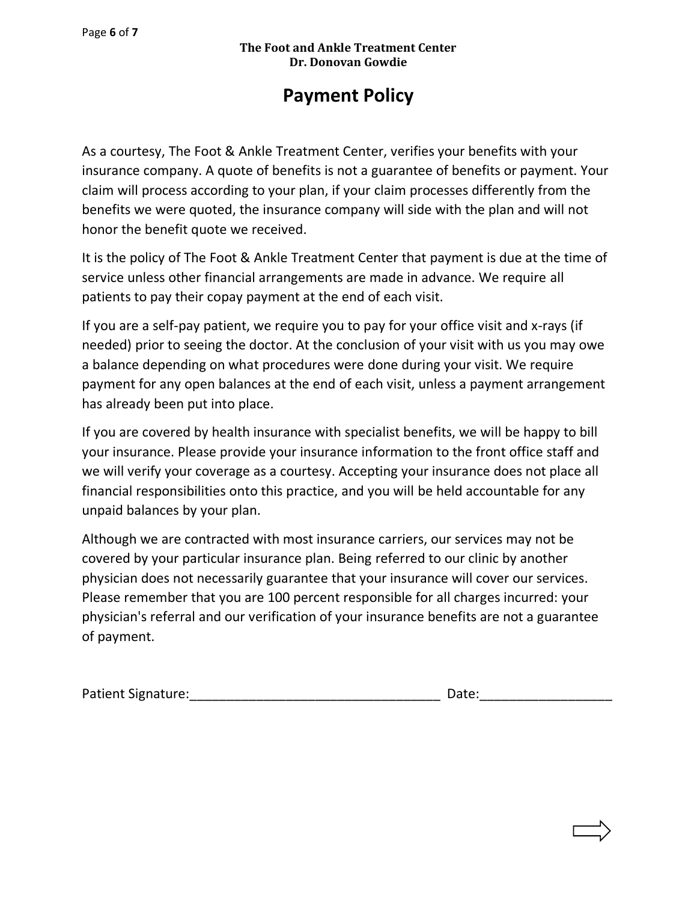# **Payment Policy**

As a courtesy, The Foot & Ankle Treatment Center, verifies your benefits with your insurance company. A quote of benefits is not a guarantee of benefits or payment. Your claim will process according to your plan, if your claim processes differently from the benefits we were quoted, the insurance company will side with the plan and will not honor the benefit quote we received.

It is the policy of The Foot & Ankle Treatment Center that payment is due at the time of service unless other financial arrangements are made in advance. We require all patients to pay their copay payment at the end of each visit.

If you are a self-pay patient, we require you to pay for your office visit and x-rays (if needed) prior to seeing the doctor. At the conclusion of your visit with us you may owe a balance depending on what procedures were done during your visit. We require payment for any open balances at the end of each visit, unless a payment arrangement has already been put into place.

If you are covered by health insurance with specialist benefits, we will be happy to bill your insurance. Please provide your insurance information to the front office staff and we will verify your coverage as a courtesy. Accepting your insurance does not place all financial responsibilities onto this practice, and you will be held accountable for any unpaid balances by your plan.

Although we are contracted with most insurance carriers, our services may not be covered by your particular insurance plan. Being referred to our clinic by another physician does not necessarily guarantee that your insurance will cover our services. Please remember that you are 100 percent responsible for all charges incurred: your physician's referral and our verification of your insurance benefits are not a guarantee of payment.

| <b>Patient Signature:</b> | Date: |
|---------------------------|-------|
|                           |       |